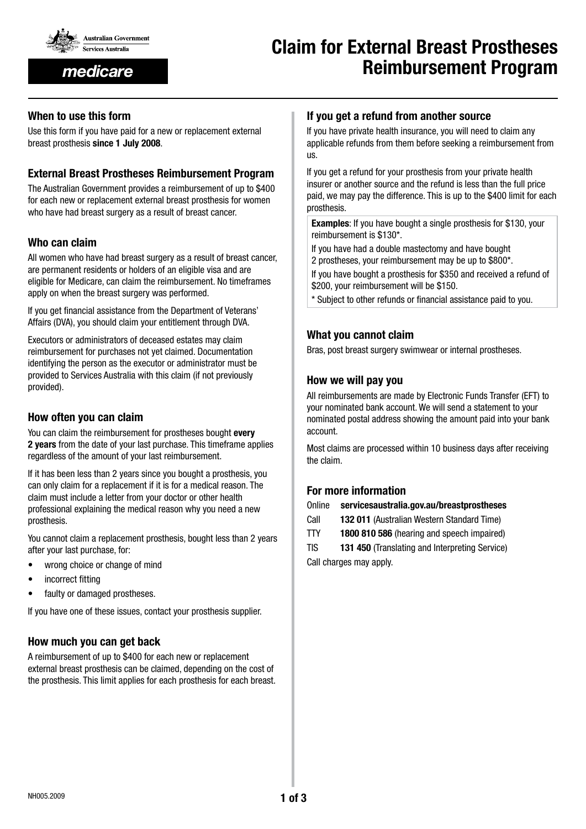

medicare

# Claim for External Breast Prostheses Reimbursement Program

## When to use this form

Use this form if you have paid for a new or replacement external breast prosthesis since 1 July 2008.

## External Breast Prostheses Reimbursement Program

The Australian Government provides a reimbursement of up to \$400 for each new or replacement external breast prosthesis for women who have had breast surgery as a result of breast cancer.

# Who can claim

All women who have had breast surgery as a result of breast cancer, are permanent residents or holders of an eligible visa and are eligible for Medicare, can claim the reimbursement. No timeframes apply on when the breast surgery was performed.

If you get financial assistance from the Department of Veterans' Affairs (DVA), you should claim your entitlement through DVA.

Executors or administrators of deceased estates may claim reimbursement for purchases not yet claimed. Documentation identifying the person as the executor or administrator must be provided to Services Australia with this claim (if not previously provided).

## How often you can claim

You can claim the reimbursement for prostheses bought every 2 years from the date of your last purchase. This timeframe applies regardless of the amount of your last reimbursement.

If it has been less than 2 years since you bought a prosthesis, you can only claim for a replacement if it is for a medical reason. The claim must include a letter from your doctor or other health professional explaining the medical reason why you need a new prosthesis.

You cannot claim a replacement prosthesis, bought less than 2 years after your last purchase, for:

- wrong choice or change of mind
- incorrect fitting
- faulty or damaged prostheses.

If you have one of these issues, contact your prosthesis supplier.

# How much you can get back

A reimbursement of up to \$400 for each new or replacement external breast prosthesis can be claimed, depending on the cost of the prosthesis. This limit applies for each prosthesis for each breast.

#### If you get a refund from another source

If you have private health insurance, you will need to claim any applicable refunds from them before seeking a reimbursement from us.

If you get a refund for your prosthesis from your private health insurer or another source and the refund is less than the full price paid, we may pay the difference. This is up to the \$400 limit for each prosthesis.

Examples: If you have bought a single prosthesis for \$130, your reimbursement is \$130\*.

If you have had a double mastectomy and have bought 2 prostheses, your reimbursement may be up to \$800\*.

If you have bought a prosthesis for \$350 and received a refund of \$200, your reimbursement will be \$150.

\* Subject to other refunds or financial assistance paid to you.

## What you cannot claim

Bras, post breast surgery swimwear or internal prostheses.

## How we will pay you

All reimbursements are made by Electronic Funds Transfer (EFT) to your nominated bank account. We will send a statement to your nominated postal address showing the amount paid into your bank account.

Most claims are processed within 10 business days after receiving the claim.

# For more information

| Online | servicesaustralia.gov.au/breastprostheses |
|--------|-------------------------------------------|
|--------|-------------------------------------------|

Call 132 011 (Australian Western Standard Time)

TTY 1800 810 586 (hearing and speech impaired)

TIS 131 450 (Translating and Interpreting Service) Call charges may apply.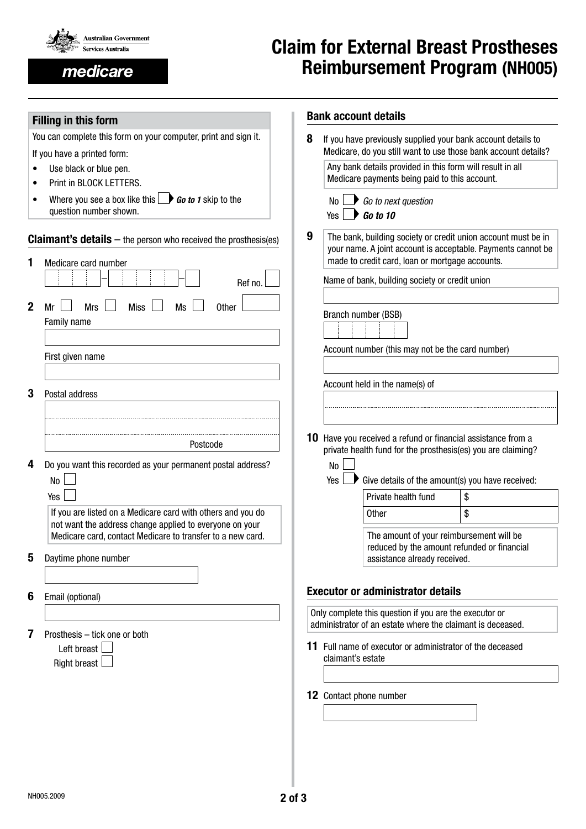

medicare

# Claim for External Breast Prostheses Reimbursement Program (NH005)

|                                                                                           | <b>Filling in this form</b>                                                                                          |  |                                                                                                                                                                                       | <b>Bank account details</b>                                                                                |                                                                |  |
|-------------------------------------------------------------------------------------------|----------------------------------------------------------------------------------------------------------------------|--|---------------------------------------------------------------------------------------------------------------------------------------------------------------------------------------|------------------------------------------------------------------------------------------------------------|----------------------------------------------------------------|--|
| You can complete this form on your computer, print and sign it.                           |                                                                                                                      |  |                                                                                                                                                                                       | If you have previously supplied your bank account details to                                               |                                                                |  |
|                                                                                           | If you have a printed form:                                                                                          |  |                                                                                                                                                                                       |                                                                                                            | Medicare, do you still want to use those bank account details? |  |
| Use black or blue pen.                                                                    |                                                                                                                      |  |                                                                                                                                                                                       | Any bank details provided in this form will result in all<br>Medicare payments being paid to this account. |                                                                |  |
| Print in BLOCK LETTERS.                                                                   |                                                                                                                      |  |                                                                                                                                                                                       |                                                                                                            |                                                                |  |
| Where you see a box like this $\Box$ <b>Go to 1</b> skip to the<br>question number shown. |                                                                                                                      |  | No l<br>Yes L                                                                                                                                                                         | $\bigcirc$ Go to next question<br>$\bigtriangledown$ Go to 10                                              |                                                                |  |
| <b>Claimant's details</b> $-$ the person who received the prosthesis(es)                  |                                                                                                                      |  | 9<br>The bank, building society or credit union account must be in<br>your name. A joint account is acceptable. Payments cannot be<br>made to credit card, loan or mortgage accounts. |                                                                                                            |                                                                |  |
| Medicare card number<br>1                                                                 |                                                                                                                      |  |                                                                                                                                                                                       |                                                                                                            |                                                                |  |
| Ref no.                                                                                   |                                                                                                                      |  |                                                                                                                                                                                       | Name of bank, building society or credit union                                                             |                                                                |  |
| $\mathbf{2}$                                                                              | <b>Miss</b><br><b>Ms</b><br><b>Mrs</b><br>Other<br>Mr                                                                |  |                                                                                                                                                                                       |                                                                                                            |                                                                |  |
| Family name                                                                               |                                                                                                                      |  |                                                                                                                                                                                       | Branch number (BSB)                                                                                        |                                                                |  |
|                                                                                           |                                                                                                                      |  |                                                                                                                                                                                       |                                                                                                            |                                                                |  |
|                                                                                           | First given name                                                                                                     |  |                                                                                                                                                                                       | Account number (this may not be the card number)                                                           |                                                                |  |
|                                                                                           |                                                                                                                      |  |                                                                                                                                                                                       |                                                                                                            |                                                                |  |
|                                                                                           |                                                                                                                      |  |                                                                                                                                                                                       | Account held in the name(s) of                                                                             |                                                                |  |
| 3                                                                                         | Postal address                                                                                                       |  |                                                                                                                                                                                       |                                                                                                            |                                                                |  |
|                                                                                           |                                                                                                                      |  |                                                                                                                                                                                       |                                                                                                            |                                                                |  |
|                                                                                           |                                                                                                                      |  |                                                                                                                                                                                       | <b>10</b> Have you received a refund or financial assistance from a                                        |                                                                |  |
|                                                                                           | Postcode                                                                                                             |  |                                                                                                                                                                                       | private health fund for the prosthesis(es) you are claiming?                                               |                                                                |  |
| 4                                                                                         | Do you want this recorded as your permanent postal address?                                                          |  | No                                                                                                                                                                                    |                                                                                                            |                                                                |  |
|                                                                                           | N <sub>0</sub>                                                                                                       |  | Yes                                                                                                                                                                                   | Give details of the amount(s) you have received:                                                           |                                                                |  |
|                                                                                           | Yes                                                                                                                  |  |                                                                                                                                                                                       | Private health fund                                                                                        | \$                                                             |  |
|                                                                                           | If you are listed on a Medicare card with others and you do                                                          |  |                                                                                                                                                                                       | Other                                                                                                      | \$                                                             |  |
|                                                                                           | not want the address change applied to everyone on your                                                              |  |                                                                                                                                                                                       | The amount of your reimbursement will be                                                                   |                                                                |  |
|                                                                                           | Medicare card, contact Medicare to transfer to a new card.                                                           |  |                                                                                                                                                                                       | reduced by the amount refunded or financial                                                                |                                                                |  |
| 5                                                                                         | Daytime phone number                                                                                                 |  |                                                                                                                                                                                       | assistance already received.                                                                               |                                                                |  |
|                                                                                           |                                                                                                                      |  |                                                                                                                                                                                       |                                                                                                            |                                                                |  |
| 6                                                                                         | Email (optional)                                                                                                     |  |                                                                                                                                                                                       | <b>Executor or administrator details</b>                                                                   |                                                                |  |
|                                                                                           |                                                                                                                      |  |                                                                                                                                                                                       | Only complete this question if you are the executor or                                                     |                                                                |  |
|                                                                                           |                                                                                                                      |  | administrator of an estate where the claimant is deceased.                                                                                                                            |                                                                                                            |                                                                |  |
| 7                                                                                         | Prosthesis - tick one or both                                                                                        |  |                                                                                                                                                                                       |                                                                                                            |                                                                |  |
|                                                                                           | 11 Full name of executor or administrator of the deceased<br>Left breast<br>claimant's estate<br><b>Right breast</b> |  |                                                                                                                                                                                       |                                                                                                            |                                                                |  |
|                                                                                           |                                                                                                                      |  |                                                                                                                                                                                       |                                                                                                            |                                                                |  |
|                                                                                           |                                                                                                                      |  |                                                                                                                                                                                       |                                                                                                            |                                                                |  |
|                                                                                           |                                                                                                                      |  |                                                                                                                                                                                       | 12 Contact phone number                                                                                    |                                                                |  |
|                                                                                           |                                                                                                                      |  |                                                                                                                                                                                       |                                                                                                            |                                                                |  |
|                                                                                           |                                                                                                                      |  |                                                                                                                                                                                       |                                                                                                            |                                                                |  |
|                                                                                           |                                                                                                                      |  |                                                                                                                                                                                       |                                                                                                            |                                                                |  |